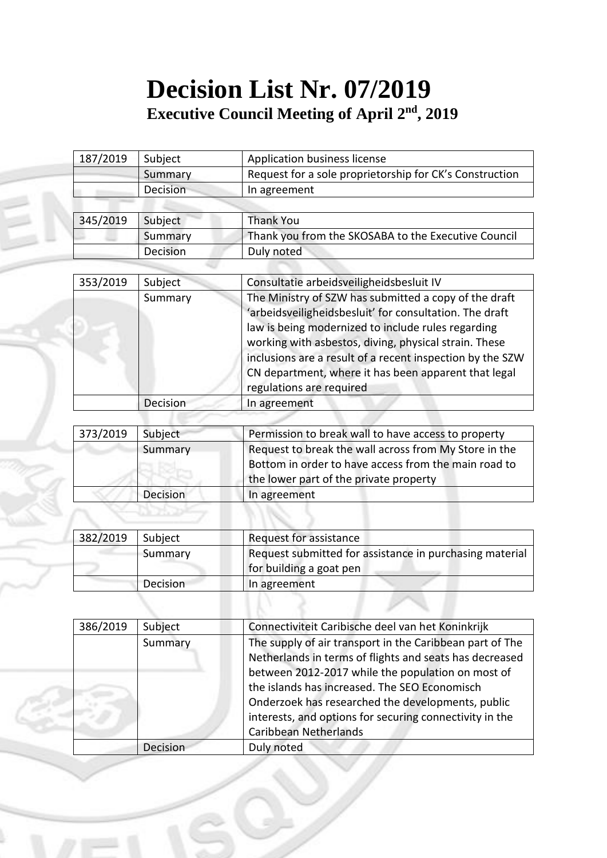## **Decision List Nr. 07/2019 Executive Council Meeting of April 2<sup>nd</sup>, 2019**

| 187/2019 | Subject  | Application business license                            |
|----------|----------|---------------------------------------------------------|
|          | Summary  | Request for a sole proprietorship for CK's Construction |
|          | Decision | In agreement                                            |
|          |          |                                                         |
| 345/2019 | Subject  | <b>Thank You</b>                                        |
|          | Summary  | Thank you from the SKOSABA to the Executive Council     |
|          | Decision | Duly noted                                              |

| 353/2019 | Subject  | Consultatie arbeidsveiligheidsbesluit IV                                                                                                                                                                                                                                                                                                                                         |
|----------|----------|----------------------------------------------------------------------------------------------------------------------------------------------------------------------------------------------------------------------------------------------------------------------------------------------------------------------------------------------------------------------------------|
|          | Summary  | The Ministry of SZW has submitted a copy of the draft<br>'arbeidsveiligheidsbesluit' for consultation. The draft<br>law is being modernized to include rules regarding<br>working with asbestos, diving, physical strain. These<br>inclusions are a result of a recent inspection by the SZW<br>CN department, where it has been apparent that legal<br>regulations are required |
|          | Decision | In agreement                                                                                                                                                                                                                                                                                                                                                                     |
|          |          |                                                                                                                                                                                                                                                                                                                                                                                  |

| 373/2019 | Subject  | Permission to break wall to have access to property   |
|----------|----------|-------------------------------------------------------|
|          | Summary  | Request to break the wall across from My Store in the |
|          |          | Bottom in order to have access from the main road to  |
|          |          | the lower part of the private property                |
|          | Decision | In agreement                                          |

| 382/2019 | Subject         | Request for assistance                                                             |
|----------|-----------------|------------------------------------------------------------------------------------|
|          | Summary         | Request submitted for assistance in purchasing material<br>for building a goat pen |
|          | <b>Decision</b> | In agreement                                                                       |
|          |                 |                                                                                    |

| 386/2019 | Subject  | Connectiviteit Caribische deel van het Koninkrijk        |
|----------|----------|----------------------------------------------------------|
|          | Summary  | The supply of air transport in the Caribbean part of The |
|          |          | Netherlands in terms of flights and seats has decreased  |
|          |          | between 2012-2017 while the population on most of        |
|          |          | the islands has increased. The SEO Economisch            |
|          |          | Onderzoek has researched the developments, public        |
|          |          | interests, and options for securing connectivity in the  |
|          |          | Caribbean Netherlands                                    |
|          | Decision | Duly noted                                               |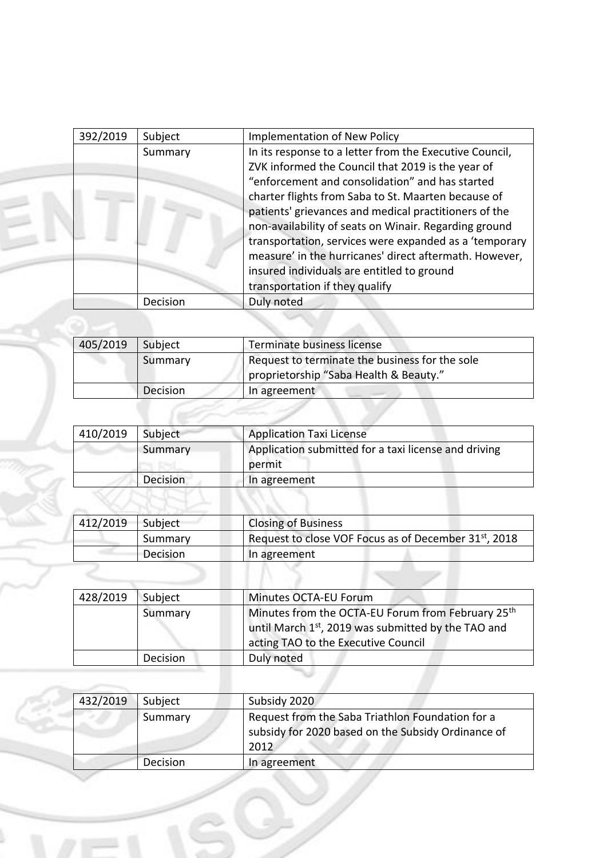| 392/2019 | Subject  | <b>Implementation of New Policy</b>                     |
|----------|----------|---------------------------------------------------------|
|          | Summary  | In its response to a letter from the Executive Council, |
|          |          | ZVK informed the Council that 2019 is the year of       |
|          |          | "enforcement and consolidation" and has started         |
|          |          | charter flights from Saba to St. Maarten because of     |
|          |          | patients' grievances and medical practitioners of the   |
|          |          | non-availability of seats on Winair. Regarding ground   |
|          |          | transportation, services were expanded as a 'temporary  |
|          |          | measure' in the hurricanes' direct aftermath. However,  |
|          |          | insured individuals are entitled to ground              |
|          |          | transportation if they qualify                          |
|          | Decision | Duly noted                                              |

| 405/2019 | Subject  | Terminate business license                     |
|----------|----------|------------------------------------------------|
|          | Summary  | Request to terminate the business for the sole |
|          |          | proprietorship "Saba Health & Beauty."         |
|          | Decision | In agreement                                   |

| 410/2019 | Subject  | <b>Application Taxi License</b>                                |
|----------|----------|----------------------------------------------------------------|
|          | Summary  | Application submitted for a taxi license and driving<br>permit |
|          | Decision | In agreement                                                   |

| Subject  | <b>Closing of Business</b>                                        |
|----------|-------------------------------------------------------------------|
| Summary  | Request to close VOF Focus as of December 31 <sup>st</sup> , 2018 |
| Decision | In agreement                                                      |
|          |                                                                   |

| Minutes from the OCTA-EU Forum from February 25th                                         |
|-------------------------------------------------------------------------------------------|
| until March 1st, 2019 was submitted by the TAO and<br>acting TAO to the Executive Council |
|                                                                                           |
|                                                                                           |

| 432/2019 | Subject  | Subsidy 2020                                                                                                   |
|----------|----------|----------------------------------------------------------------------------------------------------------------|
|          | Summary  | Request from the Saba Triathlon Foundation for a<br>subsidy for 2020 based on the Subsidy Ordinance of<br>2012 |
|          | Decision | In agreement                                                                                                   |

Í.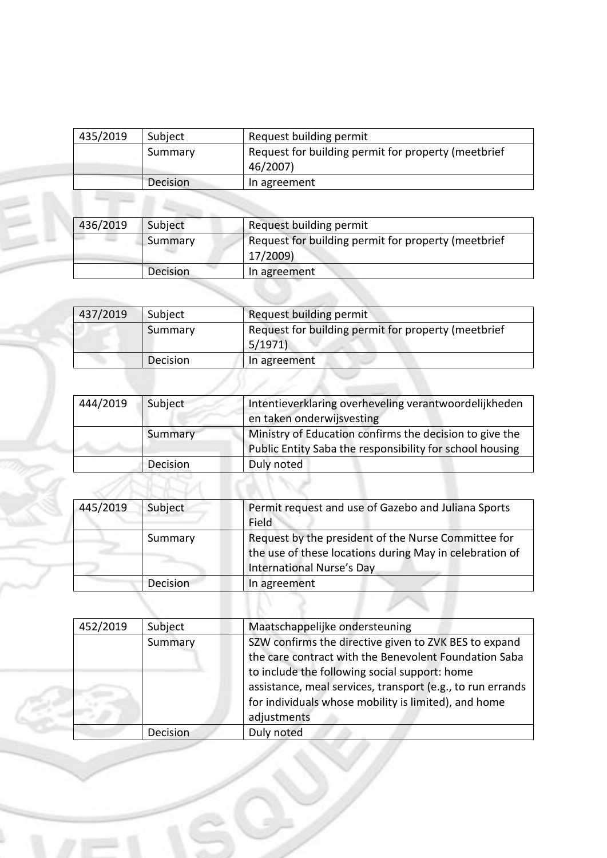| 435/2019 | Subject         | Request building permit                                         |
|----------|-----------------|-----------------------------------------------------------------|
|          | Summary         | Request for building permit for property (meetbrief<br>46/2007) |
|          | <b>Decision</b> | In agreement                                                    |

| 436/2019 | Subject         | Request building permit                                         |
|----------|-----------------|-----------------------------------------------------------------|
|          | Summary         | Request for building permit for property (meetbrief<br>17/2009) |
|          | <b>Decision</b> | In agreement                                                    |

EN

Í.

| 437/2019 | Subject  | Request building permit                                       |
|----------|----------|---------------------------------------------------------------|
|          | Summary  | Request for building permit for property (meetbrief<br>5/1971 |
|          | Decision | In agreement                                                  |

| 444/2019 | Subject  | Intentieverklaring overheveling verantwoordelijkheden                                                               |
|----------|----------|---------------------------------------------------------------------------------------------------------------------|
|          |          | en taken onderwijsvesting                                                                                           |
|          | Summary  | Ministry of Education confirms the decision to give the<br>Public Entity Saba the responsibility for school housing |
|          | Decision | Duly noted                                                                                                          |

| 445/2019 | Subject  | Permit request and use of Gazebo and Juliana Sports<br>Field                                                                                       |
|----------|----------|----------------------------------------------------------------------------------------------------------------------------------------------------|
|          | Summary  | Request by the president of the Nurse Committee for<br>the use of these locations during May in celebration of<br><b>International Nurse's Day</b> |
|          | Decision | In agreement                                                                                                                                       |
|          |          |                                                                                                                                                    |

| 452/2019 | Subject  | Maatschappelijke ondersteuning                                                                                                                                                                                                                                                                       |
|----------|----------|------------------------------------------------------------------------------------------------------------------------------------------------------------------------------------------------------------------------------------------------------------------------------------------------------|
|          | Summary  | SZW confirms the directive given to ZVK BES to expand<br>the care contract with the Benevolent Foundation Saba<br>to include the following social support: home<br>assistance, meal services, transport (e.g., to run errands<br>for individuals whose mobility is limited), and home<br>adjustments |
|          | Decision | Duly noted                                                                                                                                                                                                                                                                                           |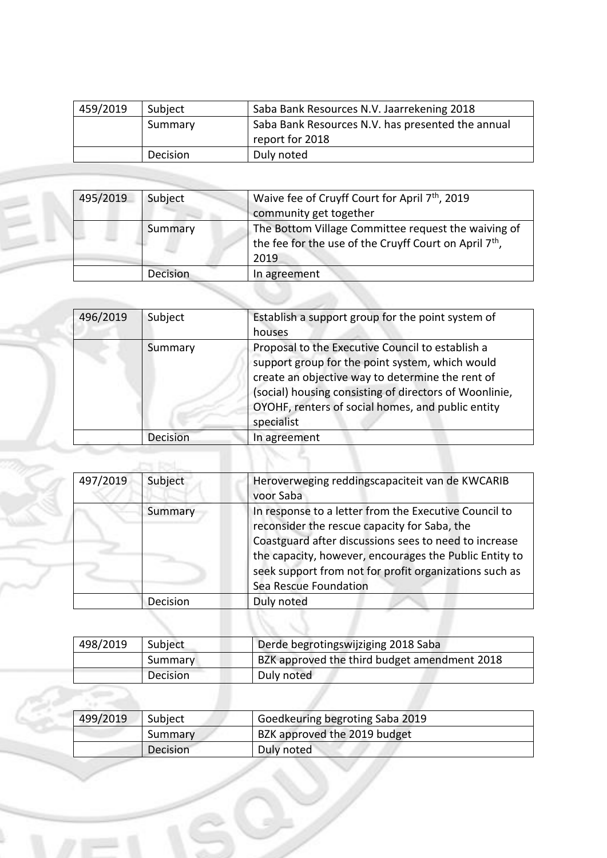| 459/2019 | Subject  | Saba Bank Resources N.V. Jaarrekening 2018        |
|----------|----------|---------------------------------------------------|
|          | Summary  | Saba Bank Resources N.V. has presented the annual |
|          |          | report for 2018                                   |
|          | Decision | Duly noted                                        |

| 495/2019 | Subject         | Waive fee of Cruyff Court for April 7 <sup>th</sup> , 2019                                                                        |
|----------|-----------------|-----------------------------------------------------------------------------------------------------------------------------------|
|          |                 | community get together                                                                                                            |
|          | Summary         | The Bottom Village Committee request the waiving of<br>the fee for the use of the Cruyff Court on April 7 <sup>th</sup> ,<br>2019 |
|          | <b>Decision</b> | In agreement                                                                                                                      |
|          |                 |                                                                                                                                   |

| 496/2019 | Subject  | Establish a support group for the point system of<br>houses                                                                                                                                                                                                                          |
|----------|----------|--------------------------------------------------------------------------------------------------------------------------------------------------------------------------------------------------------------------------------------------------------------------------------------|
|          | Summary  | Proposal to the Executive Council to establish a<br>support group for the point system, which would<br>create an objective way to determine the rent of<br>(social) housing consisting of directors of Woonlinie,<br>OYOHF, renters of social homes, and public entity<br>specialist |
|          | Decision | In agreement                                                                                                                                                                                                                                                                         |
|          |          |                                                                                                                                                                                                                                                                                      |
|          |          |                                                                                                                                                                                                                                                                                      |

| 497/2019 | Subject  | Heroverweging reddingscapaciteit van de KWCARIB<br>voor Saba                                                                                                                                                                                                                                                |
|----------|----------|-------------------------------------------------------------------------------------------------------------------------------------------------------------------------------------------------------------------------------------------------------------------------------------------------------------|
|          | Summary  | In response to a letter from the Executive Council to<br>reconsider the rescue capacity for Saba, the<br>Coastguard after discussions sees to need to increase<br>the capacity, however, encourages the Public Entity to<br>seek support from not for profit organizations such as<br>Sea Rescue Foundation |
|          | Decision | Duly noted                                                                                                                                                                                                                                                                                                  |
|          |          |                                                                                                                                                                                                                                                                                                             |

| 498/2019 | Subject  | Derde begrotingswijziging 2018 Saba          |
|----------|----------|----------------------------------------------|
|          | Summary  | BZK approved the third budget amendment 2018 |
|          | Decision | Duly noted                                   |

| 499/2019 | Subject  | Goedkeuring begroting Saba 2019 |  |
|----------|----------|---------------------------------|--|
|          | Summary  | BZK approved the 2019 budget    |  |
|          | Decision | Duly noted                      |  |

×

Í.